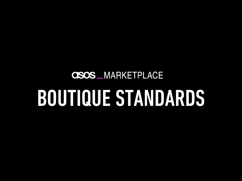# **CISOS** MARKETPLACE BOUTIQUE STANDARDS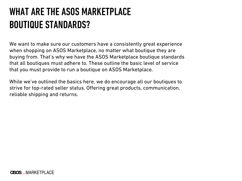### WHAT ARE THE ASOS MARKETPLACE BOUTIQUE STANDARDS?

We want to make sure our customers have a consistently great experience when shopping on ASOS Marketplace, no matter what boutique they are buying from. That's why we have the ASOS Marketplace boutique standards that all boutiques must adhere to. These outline the basic level of service that you must provide to run a boutique on ASOS Marketplace.

While we've outlined the basics here, we do encourage all our boutiques to strive for top-rated seller status. Offering great products, communication, reliable shipping and returns.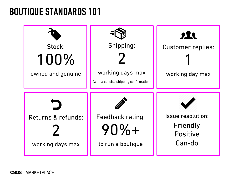#### BOUTIQUE STANDARDS 101



**CISOS** MARKETPLACE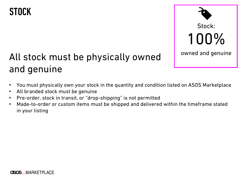#### **STOCK**



#### All stock must be physically owned and genuine

- You must physically own your stock in the quantity and condition listed on ASOS Marketplace
- All branded stock must be genuine
- Pre-order, stock in transit, or "drop-shipping" is not permitted
- Made-to-order or custom items must be shipped and delivered within the timeframe stated in your listing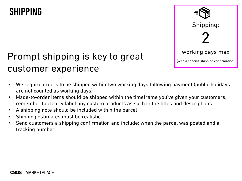#### SHIPPING

# Shipping: 2 working days max (with a concise shipping confirmation)

#### Prompt shipping is key to great customer experience

- We require orders to be shipped within two working days following payment (public holidays are not counted as working days)
- Made-to-order items should be shipped within the timeframe you've given your customers, remember to clearly label any custom products as such in the titles and descriptions
- A shipping note should be included within the parcel
- Shipping estimates must be realistic
- Send customers a shipping confirmation and include: when the parcel was posted and a tracking number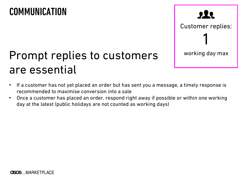#### COMMUNICATION

### $222$

Customer replies:

1

## Prompt replies to customers and working day max are essential

- If a customer has not yet placed an order but has sent you a message, a timely response is recommended to maximise conversion into a sale
- Once a customer has placed an order, respond right away if possible or within one working day at the latest (public holidays are not counted as working days)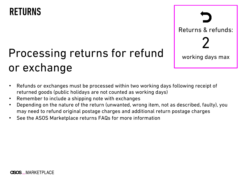#### RETURNS

# Processing returns for refund  $\parallel$  working days max or exchange

Returns & refunds: 2

- Refunds or exchanges must be processed within two working days following receipt of returned goods (public holidays are not counted as working days)
- Remember to include a shipping note with exchanges
- Depending on the nature of the return (unwanted, wrong item, not as described, faulty), you may need to refund original postage charges and additional return postage charges
- See the ASOS Marketplace returns FAQs for more information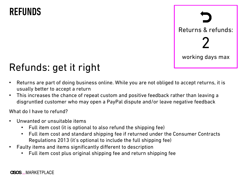#### REFUNDS



### Refunds: get it right

- Returns are part of doing business online. While you are not obliged to accept returns, it is usually better to accept a return
- This increases the chance of repeat custom and positive feedback rather than leaving a disgruntled customer who may open a PayPal dispute and/or leave negative feedback

What do I have to refund?

- Unwanted or unsuitable items
	- Full item cost (it is optional to also refund the shipping fee)
	- Full item cost and standard shipping fee if returned under the Consumer Contracts Regulations 2013 (it's optional to include the full shipping fee)
- Faulty items and items significantly different to description
	- Full item cost plus original shipping fee and return shipping fee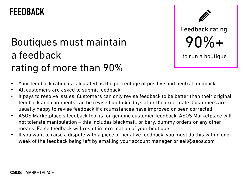#### FEEDBACK

### Boutiques must maintain a feedback rating of more than 90%



- Your feedback rating is calculated as the percentage of positive and neutral feedback
- All customers are asked to submit feedback
- It pays to resolve issues. Customers can only revise feedback to be better than their original feedback and comments can be revised up to 45 days after the order date. Customers are usually happy to revise feedback if circumstances have improved or been corrected
- ASOS Marketplace's feedback tool is for genuine customer feedback. ASOS Marketplace will not tolerate manipulation – this includes blackmail, bribery, dummy orders or any other means. False feedback will result in termination of your boutique
- If you want to raise a dispute with a piece of negative feedback, you must do this within one week of the feedback being left by emailing your account manager or sell@asos.com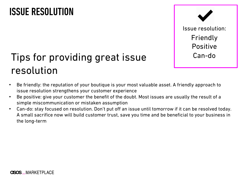#### ISSUE RESOLUTION



### Tips for providing great issue Tips for providing great issue resolution

- Be friendly: the reputation of your boutique is your most valuable asset. A friendly approach to issue resolution strengthens your customer experience
- Be positive: give your customer the benefit of the doubt. Most issues are usually the result of a simple miscommunication or mistaken assumption
- Can-do: stay focused on resolution. Don't put off an issue until tomorrow if it can be resolved today. A small sacrifice now will build customer trust, save you time and be beneficial to your business in the long-term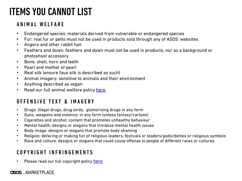### ITEMS YOU CANNOT LIST

#### ANIMAL WELFARE

- Endangered species: materials derived from vulnerable or endangered species
- Fur: real fur or pelts must not be used in products sold through any of ASOS' websites
- Angora and other rabbit hair
- Feathers and down: feathers and down must not be used in products, nor as a background photoshoot accessory
- Bone, shell, horn and teeth
- Pearl and mother of pearl
- Real silk (ensure faux silk is described as such)
- Animal imagery: sensitive to anim[als an](https://marketplace.asos.com/help/copyright-policy)d their environment
- Anything described as vegan
- Read our full animal welfare policy here

#### OFFENSIVE TEXT & IMAGERY

- Drugs: illegal drugs, drug lords, glamorising drugs in any form
- Guns, weapons and violence: in any form (unless fantasy/cartoon)
- Cigarettes and alcohol: content that promotes unhealthy behaviour
- Mental health: designs or slogans that trivialise mental health issues
- Body image: designs or slogans that promote body shaming
- Religion: defacing or making fun of religious leaders, festivals or leaders/gods/deities or religiou
- Race and culture: designs or slogans that could cause offense to people of different races or cult

#### COPYRIGHT INFRINGFMENTS

Please read our full copyright policy here

#### **CISOS** MARKETPLACE